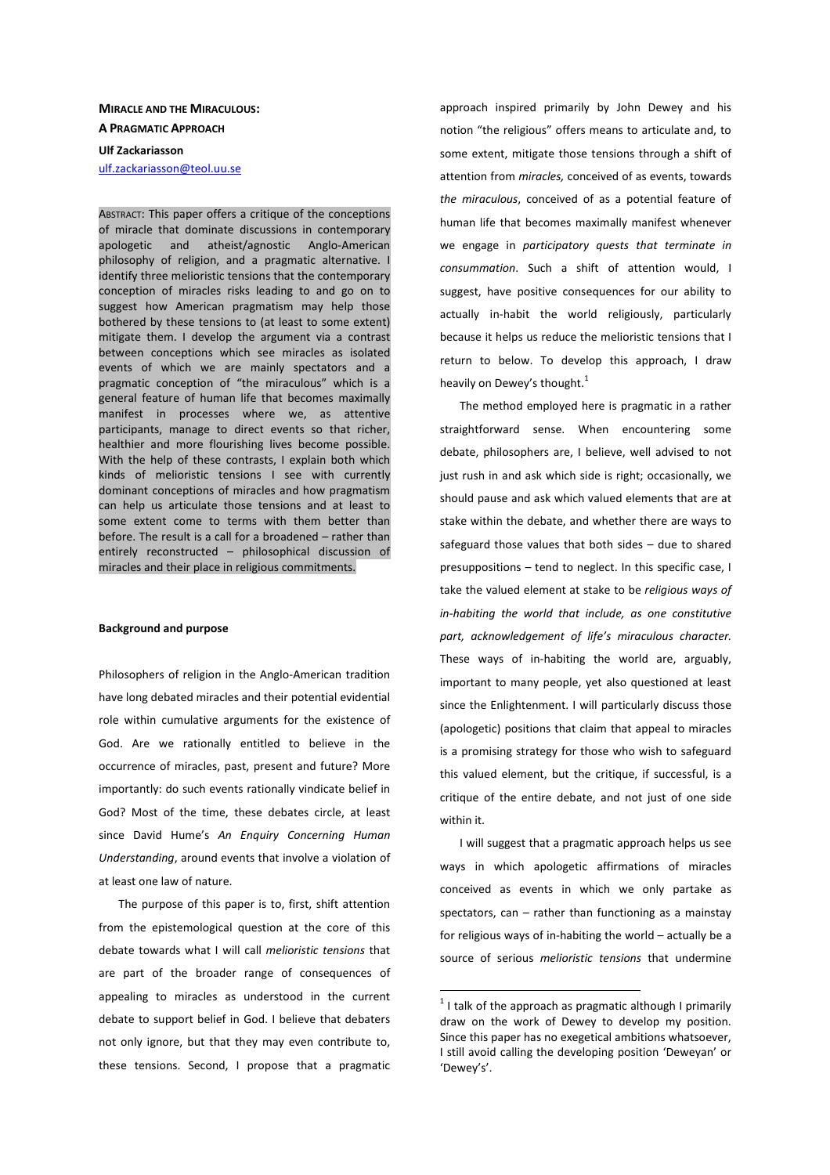# **MIRACLE AND THE MIRACULOUS: A PRAGMATIC APPROACH Ulf Zackariasson**

ulf.zackariasson@teol.uu.se

ABSTRACT: This paper offers a critique of the conceptions of miracle that dominate discussions in contemporary apologetic and atheist/agnostic Anglo-American philosophy of religion, and a pragmatic alternative. I identify three melioristic tensions that the contemporary conception of miracles risks leading to and go on to suggest how American pragmatism may help those bothered by these tensions to (at least to some extent) mitigate them. I develop the argument via a contrast between conceptions which see miracles as isolated events of which we are mainly spectators and a pragmatic conception of "the miraculous" which is a general feature of human life that becomes maximally manifest in processes where we, as attentive participants, manage to direct events so that richer, healthier and more flourishing lives become possible. With the help of these contrasts, I explain both which kinds of melioristic tensions I see with currently dominant conceptions of miracles and how pragmatism can help us articulate those tensions and at least to some extent come to terms with them better than before. The result is a call for a broadened – rather than entirely reconstructed – philosophical discussion of miracles and their place in religious commitments.

#### **Background and purpose**

Philosophers of religion in the Anglo-American tradition have long debated miracles and their potential evidential role within cumulative arguments for the existence of God. Are we rationally entitled to believe in the occurrence of miracles, past, present and future? More importantly: do such events rationally vindicate belief in God? Most of the time, these debates circle, at least since David Hume's *An Enquiry Concerning Human Understanding*, around events that involve a violation of at least one law of nature.

The purpose of this paper is to, first, shift attention from the epistemological question at the core of this debate towards what I will call *melioristic tensions* that are part of the broader range of consequences of appealing to miracles as understood in the current debate to support belief in God. I believe that debaters not only ignore, but that they may even contribute to, these tensions. Second, I propose that a pragmatic

approach inspired primarily by John Dewey and his notion "the religious" offers means to articulate and, to some extent, mitigate those tensions through a shift of attention from *miracles,* conceived of as events, towards *the miraculous*, conceived of as a potential feature of human life that becomes maximally manifest whenever we engage in *participatory quests that terminate in consummation*. Such a shift of attention would, I suggest, have positive consequences for our ability to actually in-habit the world religiously, particularly because it helps us reduce the melioristic tensions that I return to below. To develop this approach, I draw heavily on Dewey's thought.<sup>1</sup>

The method employed here is pragmatic in a rather straightforward sense. When encountering some debate, philosophers are, I believe, well advised to not just rush in and ask which side is right; occasionally, we should pause and ask which valued elements that are at stake within the debate, and whether there are ways to safeguard those values that both sides – due to shared presuppositions – tend to neglect. In this specific case, I take the valued element at stake to be *religious ways of in-habiting the world that include, as one constitutive part, acknowledgement of life's miraculous character.* These ways of in-habiting the world are, arguably, important to many people, yet also questioned at least since the Enlightenment. I will particularly discuss those (apologetic) positions that claim that appeal to miracles is a promising strategy for those who wish to safeguard this valued element, but the critique, if successful, is a critique of the entire debate, and not just of one side within it.

I will suggest that a pragmatic approach helps us see ways in which apologetic affirmations of miracles conceived as events in which we only partake as spectators, can – rather than functioning as a mainstay for religious ways of in-habiting the world – actually be a source of serious *melioristic tensions* that undermine

 $\overline{a}$ 

 $1$  I talk of the approach as pragmatic although I primarily draw on the work of Dewey to develop my position. Since this paper has no exegetical ambitions whatsoever, I still avoid calling the developing position 'Deweyan' or 'Dewey's'.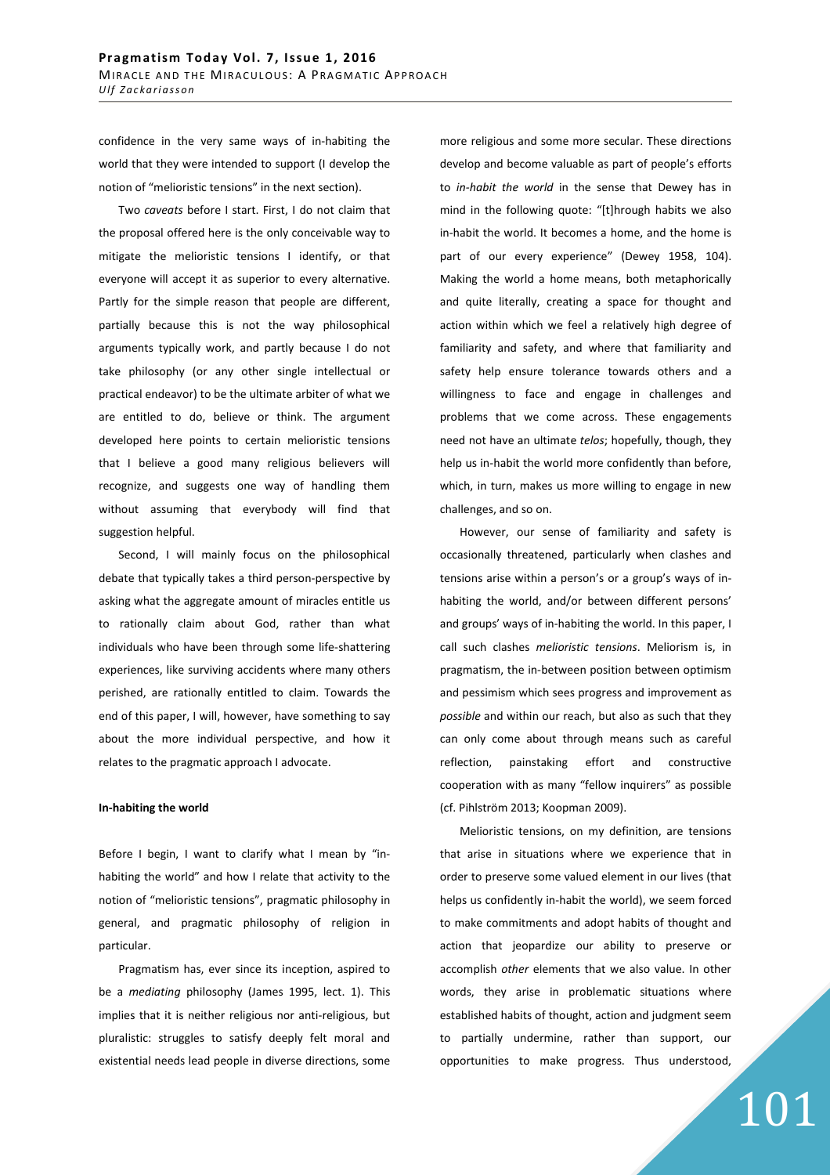confidence in the very same ways of in-habiting the world that they were intended to support (I develop the notion of "melioristic tensions" in the next section).

Two *caveats* before I start. First, I do not claim that the proposal offered here is the only conceivable way to mitigate the melioristic tensions I identify, or that everyone will accept it as superior to every alternative. Partly for the simple reason that people are different, partially because this is not the way philosophical arguments typically work, and partly because I do not take philosophy (or any other single intellectual or practical endeavor) to be the ultimate arbiter of what we are entitled to do, believe or think. The argument developed here points to certain melioristic tensions that I believe a good many religious believers will recognize, and suggests one way of handling them without assuming that everybody will find that suggestion helpful.

Second, I will mainly focus on the philosophical debate that typically takes a third person-perspective by asking what the aggregate amount of miracles entitle us to rationally claim about God, rather than what individuals who have been through some life-shattering experiences, like surviving accidents where many others perished, are rationally entitled to claim. Towards the end of this paper, I will, however, have something to say about the more individual perspective, and how it relates to the pragmatic approach I advocate.

## **In-habiting the world**

Before I begin, I want to clarify what I mean by "inhabiting the world" and how I relate that activity to the notion of "melioristic tensions", pragmatic philosophy in general, and pragmatic philosophy of religion in particular.

Pragmatism has, ever since its inception, aspired to be a *mediating* philosophy (James 1995, lect. 1). This implies that it is neither religious nor anti-religious, but pluralistic: struggles to satisfy deeply felt moral and existential needs lead people in diverse directions, some more religious and some more secular. These directions develop and become valuable as part of people's efforts to *in-habit the world* in the sense that Dewey has in mind in the following quote: "[t]hrough habits we also in-habit the world. It becomes a home, and the home is part of our every experience" (Dewey 1958, 104). Making the world a home means, both metaphorically and quite literally, creating a space for thought and action within which we feel a relatively high degree of familiarity and safety, and where that familiarity and safety help ensure tolerance towards others and a willingness to face and engage in challenges and problems that we come across. These engagements need not have an ultimate *telos*; hopefully, though, they help us in-habit the world more confidently than before, which, in turn, makes us more willing to engage in new challenges, and so on.

However, our sense of familiarity and safety is occasionally threatened, particularly when clashes and tensions arise within a person's or a group's ways of inhabiting the world, and/or between different persons' and groups' ways of in-habiting the world. In this paper, I call such clashes *melioristic tensions*. Meliorism is, in pragmatism, the in-between position between optimism and pessimism which sees progress and improvement as *possible* and within our reach, but also as such that they can only come about through means such as careful reflection, painstaking effort and constructive cooperation with as many "fellow inquirers" as possible (cf. Pihlström 2013; Koopman 2009).

Melioristic tensions, on my definition, are tensions that arise in situations where we experience that in order to preserve some valued element in our lives (that helps us confidently in-habit the world), we seem forced to make commitments and adopt habits of thought and action that jeopardize our ability to preserve or accomplish *other* elements that we also value. In other words, they arise in problematic situations where established habits of thought, action and judgment seem to partially undermine, rather than support, our opportunities to make progress. Thus understood,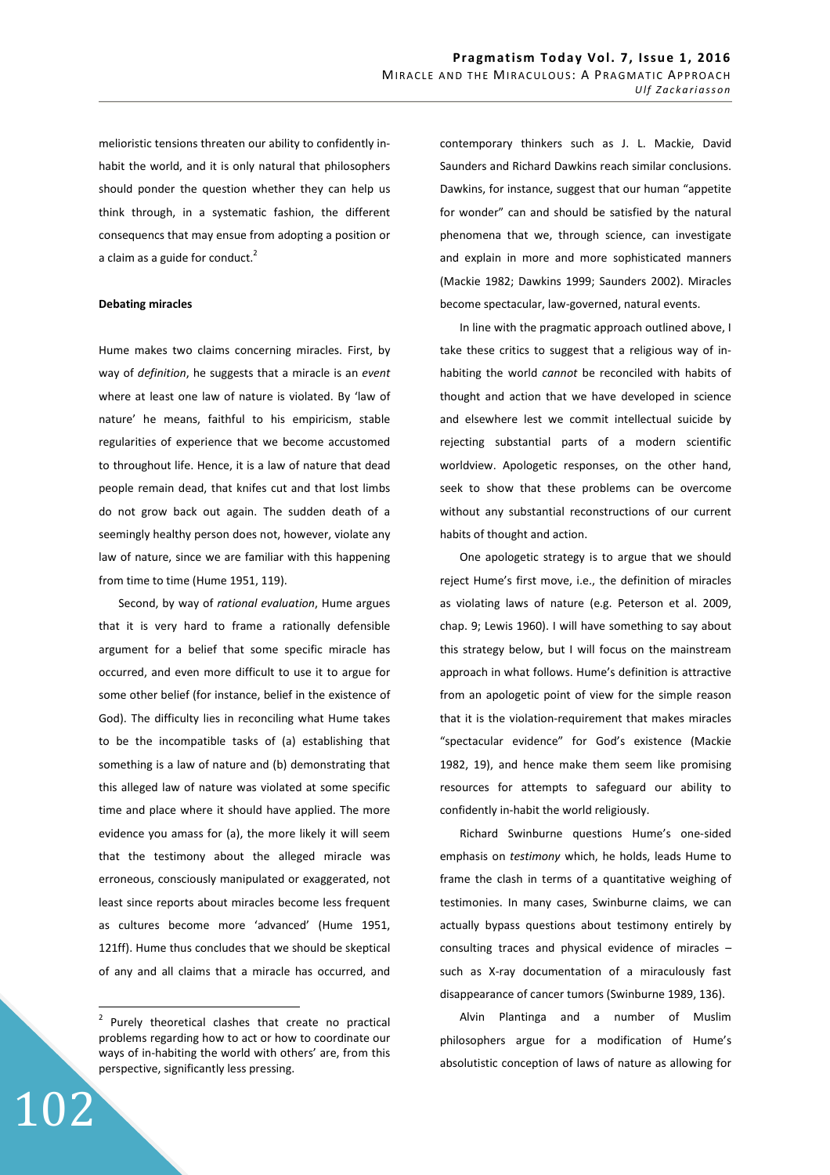melioristic tensions threaten our ability to confidently inhabit the world, and it is only natural that philosophers should ponder the question whether they can help us think through, in a systematic fashion, the different consequencs that may ensue from adopting a position or a claim as a guide for conduct.<sup>2</sup>

### **Debating miracles**

Hume makes two claims concerning miracles. First, by way of *definition*, he suggests that a miracle is an *event* where at least one law of nature is violated. By 'law of nature' he means, faithful to his empiricism, stable regularities of experience that we become accustomed to throughout life. Hence, it is a law of nature that dead people remain dead, that knifes cut and that lost limbs do not grow back out again. The sudden death of a seemingly healthy person does not, however, violate any law of nature, since we are familiar with this happening from time to time (Hume 1951, 119).

Second, by way of *rational evaluation*, Hume argues that it is very hard to frame a rationally defensible argument for a belief that some specific miracle has occurred, and even more difficult to use it to argue for some other belief (for instance, belief in the existence of God). The difficulty lies in reconciling what Hume takes to be the incompatible tasks of (a) establishing that something is a law of nature and (b) demonstrating that this alleged law of nature was violated at some specific time and place where it should have applied. The more evidence you amass for (a), the more likely it will seem that the testimony about the alleged miracle was erroneous, consciously manipulated or exaggerated, not least since reports about miracles become less frequent as cultures become more 'advanced' (Hume 1951, 121ff). Hume thus concludes that we should be skeptical of any and all claims that a miracle has occurred, and

102

 $\overline{a}$ 

contemporary thinkers such as J. L. Mackie, David Saunders and Richard Dawkins reach similar conclusions. Dawkins, for instance, suggest that our human "appetite for wonder" can and should be satisfied by the natural phenomena that we, through science, can investigate and explain in more and more sophisticated manners (Mackie 1982; Dawkins 1999; Saunders 2002). Miracles become spectacular, law-governed, natural events.

In line with the pragmatic approach outlined above, I take these critics to suggest that a religious way of inhabiting the world *cannot* be reconciled with habits of thought and action that we have developed in science and elsewhere lest we commit intellectual suicide by rejecting substantial parts of a modern scientific worldview. Apologetic responses, on the other hand, seek to show that these problems can be overcome without any substantial reconstructions of our current habits of thought and action.

One apologetic strategy is to argue that we should reject Hume's first move, i.e., the definition of miracles as violating laws of nature (e.g. Peterson et al. 2009, chap. 9; Lewis 1960). I will have something to say about this strategy below, but I will focus on the mainstream approach in what follows. Hume's definition is attractive from an apologetic point of view for the simple reason that it is the violation-requirement that makes miracles "spectacular evidence" for God's existence (Mackie 1982, 19), and hence make them seem like promising resources for attempts to safeguard our ability to confidently in-habit the world religiously.

Richard Swinburne questions Hume's one-sided emphasis on *testimony* which, he holds, leads Hume to frame the clash in terms of a quantitative weighing of testimonies. In many cases, Swinburne claims, we can actually bypass questions about testimony entirely by consulting traces and physical evidence of miracles – such as X-ray documentation of a miraculously fast disappearance of cancer tumors (Swinburne 1989, 136).

Alvin Plantinga and a number of Muslim philosophers argue for a modification of Hume's absolutistic conception of laws of nature as allowing for

<sup>&</sup>lt;sup>2</sup> Purely theoretical clashes that create no practical problems regarding how to act or how to coordinate our ways of in-habiting the world with others' are, from this perspective, significantly less pressing.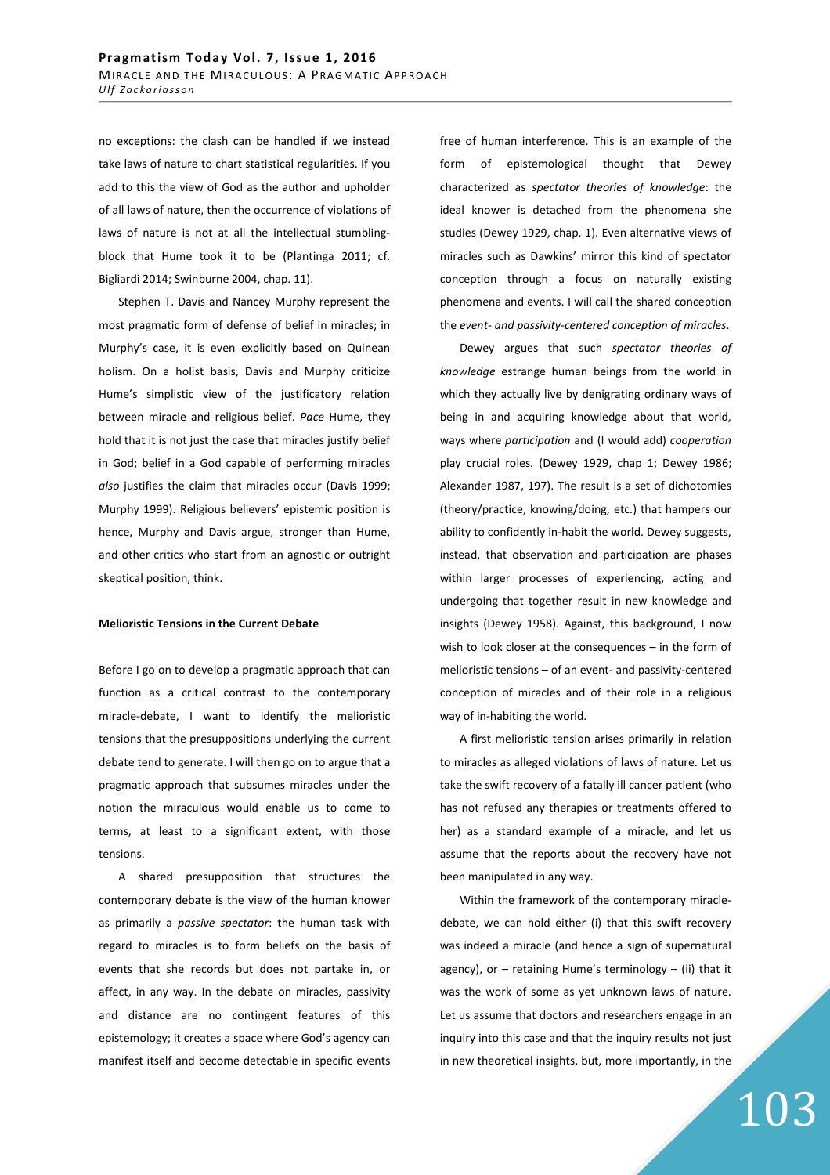no exceptions: the clash can be handled if we instead take laws of nature to chart statistical regularities. If you add to this the view of God as the author and upholder of all laws of nature, then the occurrence of violations of laws of nature is not at all the intellectual stumblingblock that Hume took it to be (Plantinga 2011; cf. Bigliardi 2014; Swinburne 2004, chap. 11).

Stephen T. Davis and Nancey Murphy represent the most pragmatic form of defense of belief in miracles; in Murphy's case, it is even explicitly based on Quinean holism. On a holist basis, Davis and Murphy criticize Hume's simplistic view of the justificatory relation between miracle and religious belief. *Pace* Hume, they hold that it is not just the case that miracles justify belief in God; belief in a God capable of performing miracles *also* justifies the claim that miracles occur (Davis 1999; Murphy 1999). Religious believers' epistemic position is hence, Murphy and Davis argue, stronger than Hume, and other critics who start from an agnostic or outright skeptical position, think.

### **Melioristic Tensions in the Current Debate**

Before I go on to develop a pragmatic approach that can function as a critical contrast to the contemporary miracle-debate, I want to identify the melioristic tensions that the presuppositions underlying the current debate tend to generate. I will then go on to argue that a pragmatic approach that subsumes miracles under the notion the miraculous would enable us to come to terms, at least to a significant extent, with those tensions.

A shared presupposition that structures the contemporary debate is the view of the human knower as primarily a *passive spectator*: the human task with regard to miracles is to form beliefs on the basis of events that she records but does not partake in, or affect, in any way. In the debate on miracles, passivity and distance are no contingent features of this epistemology; it creates a space where God's agency can manifest itself and become detectable in specific events free of human interference. This is an example of the form of epistemological thought that Dewey characterized as *spectator theories of knowledge*: the ideal knower is detached from the phenomena she studies (Dewey 1929, chap. 1). Even alternative views of miracles such as Dawkins' mirror this kind of spectator conception through a focus on naturally existing phenomena and events. I will call the shared conception the *event- and passivity-centered conception of miracles*.

Dewey argues that such *spectator theories of knowledge* estrange human beings from the world in which they actually live by denigrating ordinary ways of being in and acquiring knowledge about that world, ways where *participation* and (I would add) *cooperation*  play crucial roles. (Dewey 1929, chap 1; Dewey 1986; Alexander 1987, 197). The result is a set of dichotomies (theory/practice, knowing/doing, etc.) that hampers our ability to confidently in-habit the world. Dewey suggests, instead, that observation and participation are phases within larger processes of experiencing, acting and undergoing that together result in new knowledge and insights (Dewey 1958). Against, this background, I now wish to look closer at the consequences – in the form of melioristic tensions – of an event- and passivity-centered conception of miracles and of their role in a religious way of in-habiting the world.

A first melioristic tension arises primarily in relation to miracles as alleged violations of laws of nature. Let us take the swift recovery of a fatally ill cancer patient (who has not refused any therapies or treatments offered to her) as a standard example of a miracle, and let us assume that the reports about the recovery have not been manipulated in any way.

Within the framework of the contemporary miracledebate, we can hold either (i) that this swift recovery was indeed a miracle (and hence a sign of supernatural agency), or  $-$  retaining Hume's terminology  $-$  (ii) that it was the work of some as yet unknown laws of nature. Let us assume that doctors and researchers engage in an inquiry into this case and that the inquiry results not just in new theoretical insights, but, more importantly, in the

# 103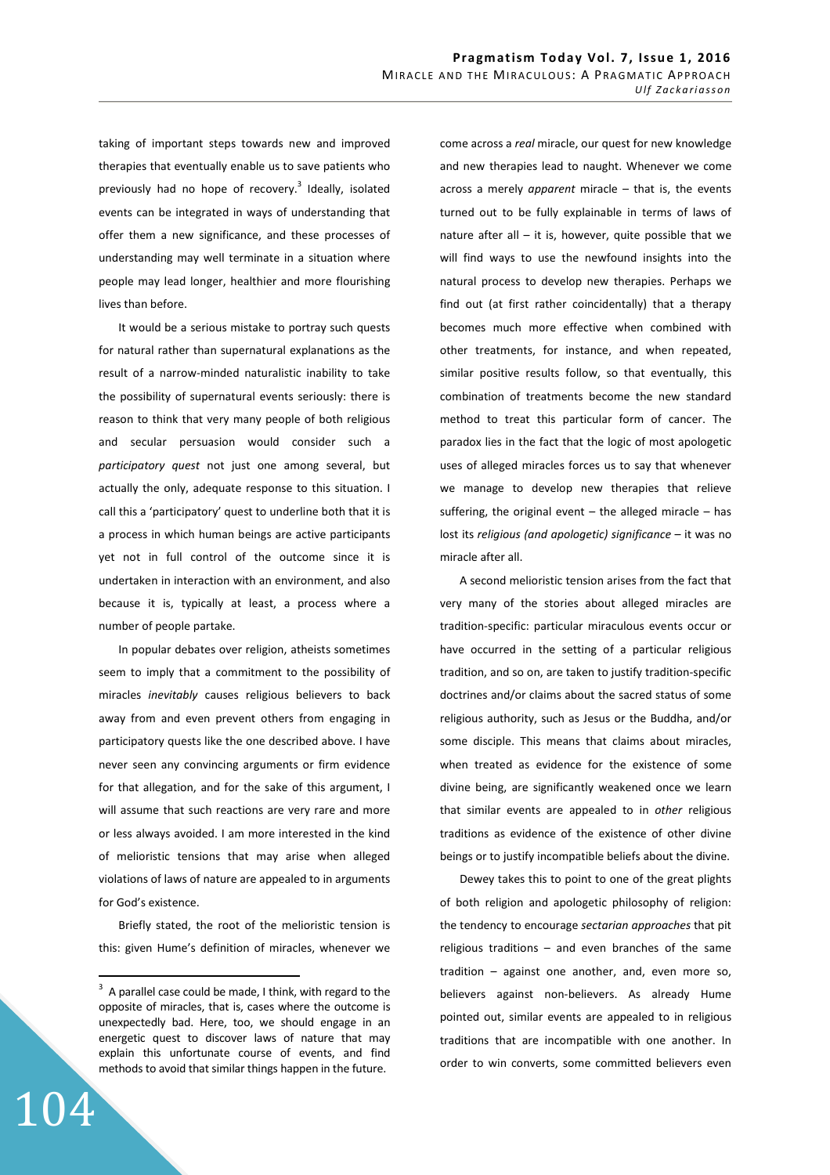taking of important steps towards new and improved therapies that eventually enable us to save patients who previously had no hope of recovery.<sup>3</sup> Ideally, isolated events can be integrated in ways of understanding that offer them a new significance, and these processes of understanding may well terminate in a situation where people may lead longer, healthier and more flourishing lives than before.

It would be a serious mistake to portray such quests for natural rather than supernatural explanations as the result of a narrow-minded naturalistic inability to take the possibility of supernatural events seriously: there is reason to think that very many people of both religious and secular persuasion would consider such a *participatory quest* not just one among several, but actually the only, adequate response to this situation. I call this a 'participatory' quest to underline both that it is a process in which human beings are active participants yet not in full control of the outcome since it is undertaken in interaction with an environment, and also because it is, typically at least, a process where a number of people partake.

In popular debates over religion, atheists sometimes seem to imply that a commitment to the possibility of miracles *inevitably* causes religious believers to back away from and even prevent others from engaging in participatory quests like the one described above. I have never seen any convincing arguments or firm evidence for that allegation, and for the sake of this argument, I will assume that such reactions are very rare and more or less always avoided. I am more interested in the kind of melioristic tensions that may arise when alleged violations of laws of nature are appealed to in arguments for God's existence.

Briefly stated, the root of the melioristic tension is this: given Hume's definition of miracles, whenever we come across a *real* miracle, our quest for new knowledge and new therapies lead to naught. Whenever we come across a merely *apparent* miracle – that is, the events turned out to be fully explainable in terms of laws of nature after all  $-$  it is, however, quite possible that we will find ways to use the newfound insights into the natural process to develop new therapies. Perhaps we find out (at first rather coincidentally) that a therapy becomes much more effective when combined with other treatments, for instance, and when repeated, similar positive results follow, so that eventually, this combination of treatments become the new standard method to treat this particular form of cancer. The paradox lies in the fact that the logic of most apologetic uses of alleged miracles forces us to say that whenever we manage to develop new therapies that relieve suffering, the original event  $-$  the alleged miracle  $-$  has lost its *religious (and apologetic) significance* – it was no miracle after all.

A second melioristic tension arises from the fact that very many of the stories about alleged miracles are tradition-specific: particular miraculous events occur or have occurred in the setting of a particular religious tradition, and so on, are taken to justify tradition-specific doctrines and/or claims about the sacred status of some religious authority, such as Jesus or the Buddha, and/or some disciple. This means that claims about miracles, when treated as evidence for the existence of some divine being, are significantly weakened once we learn that similar events are appealed to in *other* religious traditions as evidence of the existence of other divine beings or to justify incompatible beliefs about the divine.

Dewey takes this to point to one of the great plights of both religion and apologetic philosophy of religion: the tendency to encourage *sectarian approaches* that pit religious traditions – and even branches of the same tradition – against one another, and, even more so, believers against non-believers. As already Hume pointed out, similar events are appealed to in religious traditions that are incompatible with one another. In order to win converts, some committed believers even

104

 $\overline{a}$ 

 $3$  A parallel case could be made, I think, with regard to the opposite of miracles, that is, cases where the outcome is unexpectedly bad. Here, too, we should engage in an energetic quest to discover laws of nature that may explain this unfortunate course of events, and find methods to avoid that similar things happen in the future.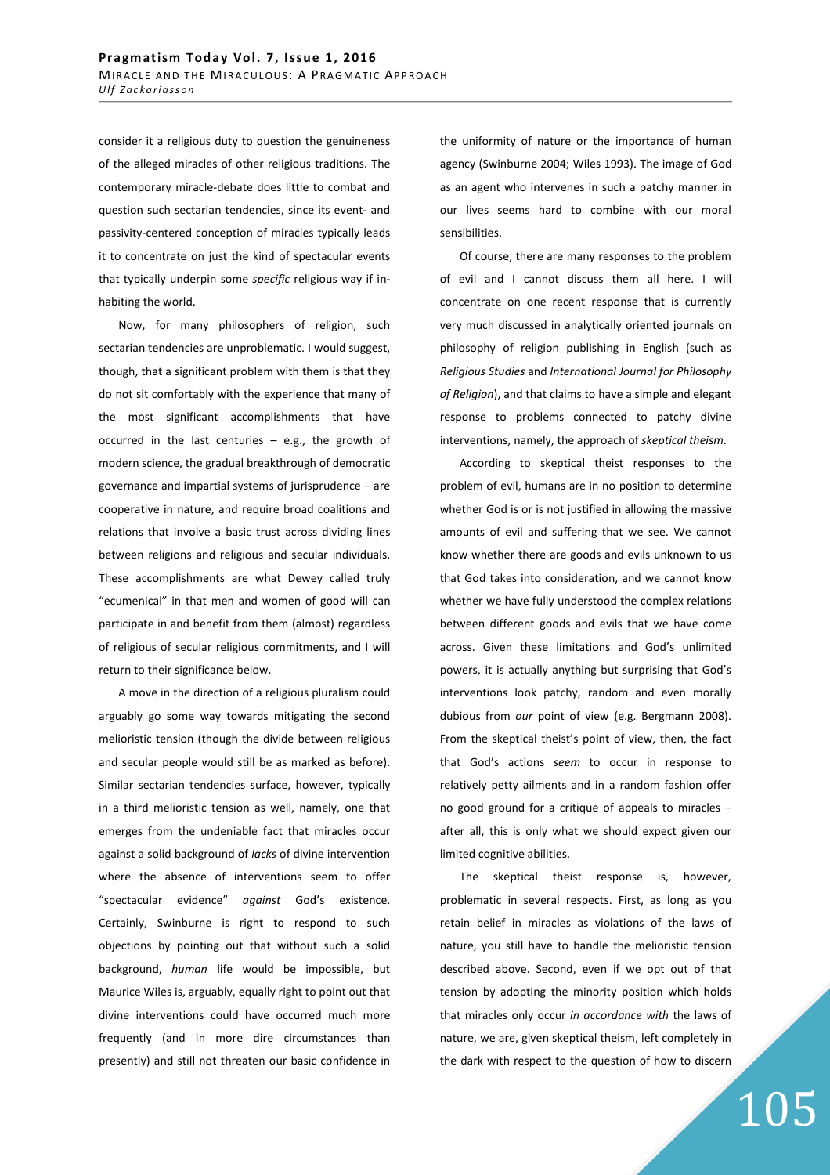consider it a religious duty to question the genuineness of the alleged miracles of other religious traditions. The contemporary miracle-debate does little to combat and question such sectarian tendencies, since its event- and passivity-centered conception of miracles typically leads it to concentrate on just the kind of spectacular events that typically underpin some *specific* religious way if inhabiting the world.

Now, for many philosophers of religion, such sectarian tendencies are unproblematic. I would suggest, though, that a significant problem with them is that they do not sit comfortably with the experience that many of the most significant accomplishments that have occurred in the last centuries  $-$  e.g., the growth of modern science, the gradual breakthrough of democratic governance and impartial systems of jurisprudence – are cooperative in nature, and require broad coalitions and relations that involve a basic trust across dividing lines between religions and religious and secular individuals. These accomplishments are what Dewey called truly "ecumenical" in that men and women of good will can participate in and benefit from them (almost) regardless of religious of secular religious commitments, and I will return to their significance below.

A move in the direction of a religious pluralism could arguably go some way towards mitigating the second melioristic tension (though the divide between religious and secular people would still be as marked as before). Similar sectarian tendencies surface, however, typically in a third melioristic tension as well, namely, one that emerges from the undeniable fact that miracles occur against a solid background of *lacks* of divine intervention where the absence of interventions seem to offer "spectacular evidence" *against* God's existence. Certainly, Swinburne is right to respond to such objections by pointing out that without such a solid background, *human* life would be impossible, but Maurice Wiles is, arguably, equally right to point out that divine interventions could have occurred much more frequently (and in more dire circumstances than presently) and still not threaten our basic confidence in the uniformity of nature or the importance of human agency (Swinburne 2004; Wiles 1993). The image of God as an agent who intervenes in such a patchy manner in our lives seems hard to combine with our moral sensibilities.

Of course, there are many responses to the problem of evil and I cannot discuss them all here. I will concentrate on one recent response that is currently very much discussed in analytically oriented journals on philosophy of religion publishing in English (such as *Religious Studies* and *International Journal for Philosophy of Religion*), and that claims to have a simple and elegant response to problems connected to patchy divine interventions, namely, the approach of *skeptical theism*.

According to skeptical theist responses to the problem of evil, humans are in no position to determine whether God is or is not justified in allowing the massive amounts of evil and suffering that we see. We cannot know whether there are goods and evils unknown to us that God takes into consideration, and we cannot know whether we have fully understood the complex relations between different goods and evils that we have come across. Given these limitations and God's unlimited powers, it is actually anything but surprising that God's interventions look patchy, random and even morally dubious from *our* point of view (e.g. Bergmann 2008). From the skeptical theist's point of view, then, the fact that God's actions *seem* to occur in response to relatively petty ailments and in a random fashion offer no good ground for a critique of appeals to miracles – after all, this is only what we should expect given our limited cognitive abilities.

The skeptical theist response is, however, problematic in several respects. First, as long as you retain belief in miracles as violations of the laws of nature, you still have to handle the melioristic tension described above. Second, even if we opt out of that tension by adopting the minority position which holds that miracles only occur *in accordance with* the laws of nature, we are, given skeptical theism, left completely in the dark with respect to the question of how to discern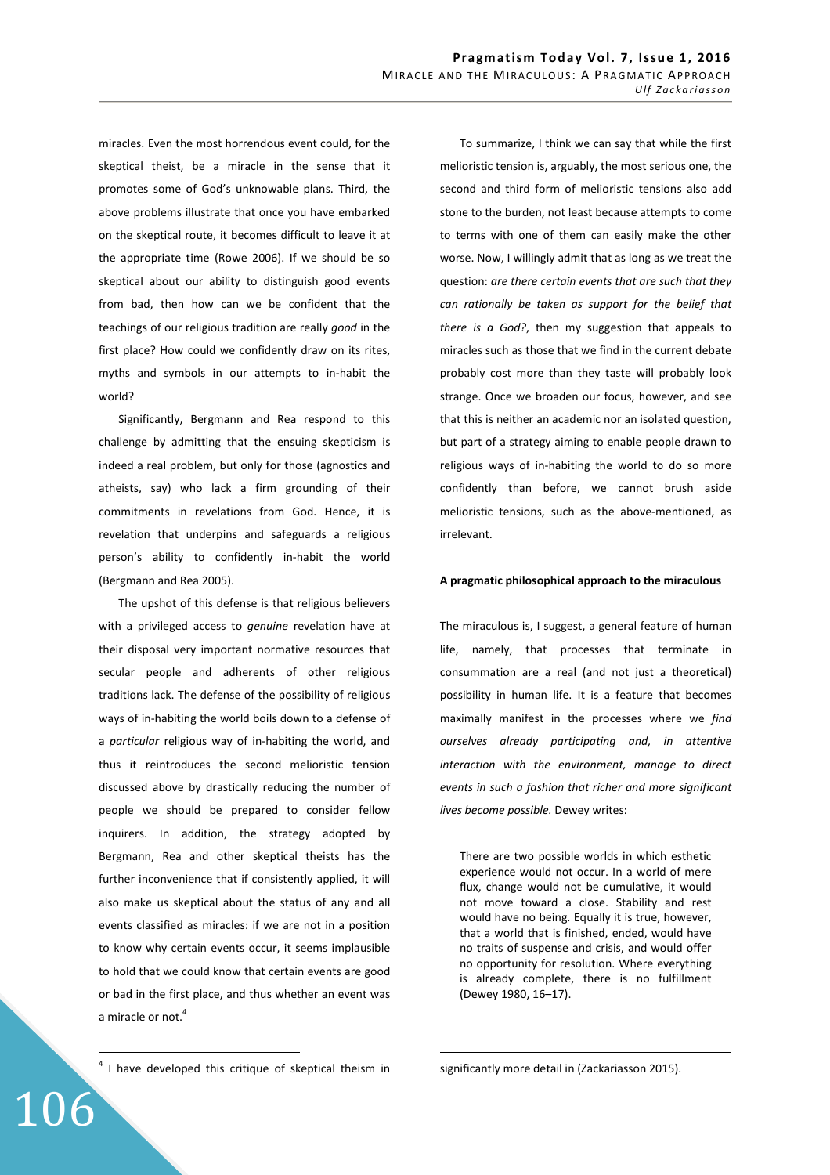miracles. Even the most horrendous event could, for the skeptical theist, be a miracle in the sense that it promotes some of God's unknowable plans. Third, the above problems illustrate that once you have embarked on the skeptical route, it becomes difficult to leave it at the appropriate time (Rowe 2006). If we should be so skeptical about our ability to distinguish good events from bad, then how can we be confident that the teachings of our religious tradition are really *good* in the first place? How could we confidently draw on its rites, myths and symbols in our attempts to in-habit the world?

Significantly, Bergmann and Rea respond to this challenge by admitting that the ensuing skepticism is indeed a real problem, but only for those (agnostics and atheists, say) who lack a firm grounding of their commitments in revelations from God. Hence, it is revelation that underpins and safeguards a religious person's ability to confidently in-habit the world (Bergmann and Rea 2005).

The upshot of this defense is that religious believers with a privileged access to *genuine* revelation have at their disposal very important normative resources that secular people and adherents of other religious traditions lack. The defense of the possibility of religious ways of in-habiting the world boils down to a defense of a *particular* religious way of in-habiting the world, and thus it reintroduces the second melioristic tension discussed above by drastically reducing the number of people we should be prepared to consider fellow inquirers. In addition, the strategy adopted by Bergmann, Rea and other skeptical theists has the further inconvenience that if consistently applied, it will also make us skeptical about the status of any and all events classified as miracles: if we are not in a position to know why certain events occur, it seems implausible to hold that we could know that certain events are good or bad in the first place, and thus whether an event was a miracle or not.<sup>4</sup>

<sup>4</sup> I have developed this critique of skeptical theism in

106

 $\overline{a}$ 

To summarize, I think we can say that while the first melioristic tension is, arguably, the most serious one, the second and third form of melioristic tensions also add stone to the burden, not least because attempts to come to terms with one of them can easily make the other worse. Now, I willingly admit that as long as we treat the question: *are there certain events that are such that they can rationally be taken as support for the belief that there is a God?*, then my suggestion that appeals to miracles such as those that we find in the current debate probably cost more than they taste will probably look strange. Once we broaden our focus, however, and see that this is neither an academic nor an isolated question, but part of a strategy aiming to enable people drawn to religious ways of in-habiting the world to do so more confidently than before, we cannot brush aside melioristic tensions, such as the above-mentioned, as irrelevant.

### **A pragmatic philosophical approach to the miraculous**

The miraculous is, I suggest, a general feature of human life, namely, that processes that terminate in consummation are a real (and not just a theoretical) possibility in human life. It is a feature that becomes maximally manifest in the processes where we *find ourselves already participating and, in attentive interaction with the environment, manage to direct events in such a fashion that richer and more significant lives become possible.* Dewey writes:

There are two possible worlds in which esthetic experience would not occur. In a world of mere flux, change would not be cumulative, it would not move toward a close. Stability and rest would have no being. Equally it is true, however, that a world that is finished, ended, would have no traits of suspense and crisis, and would offer no opportunity for resolution. Where everything is already complete, there is no fulfillment (Dewey 1980, 16–17).

significantly more detail in (Zackariasson 2015).

 $\overline{a}$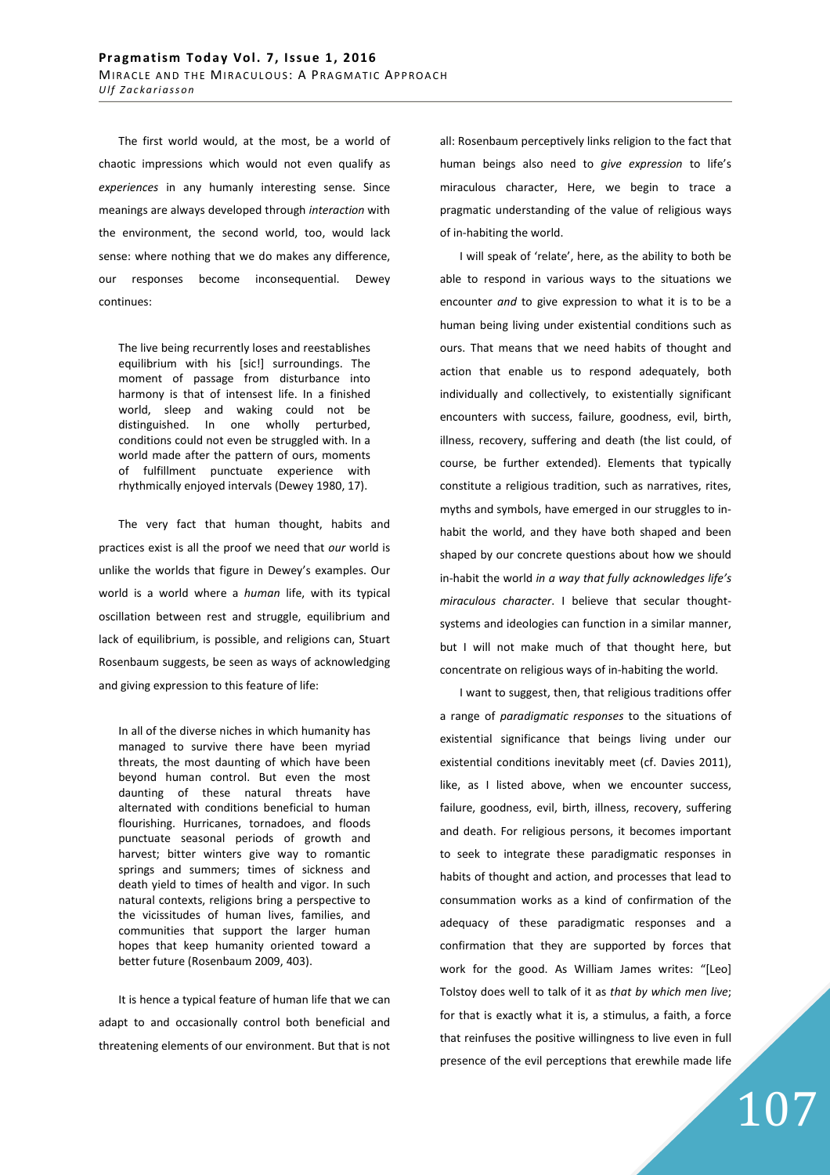The first world would, at the most, be a world of chaotic impressions which would not even qualify as *experiences* in any humanly interesting sense. Since meanings are always developed through *interaction* with the environment, the second world, too, would lack sense: where nothing that we do makes any difference, our responses become inconsequential. Dewey continues:

The live being recurrently loses and reestablishes equilibrium with his [sic!] surroundings. The moment of passage from disturbance into harmony is that of intensest life. In a finished world, sleep and waking could not be distinguished. In one wholly perturbed, conditions could not even be struggled with. In a world made after the pattern of ours, moments of fulfillment punctuate experience with rhythmically enjoyed intervals (Dewey 1980, 17).

The very fact that human thought, habits and practices exist is all the proof we need that *our* world is unlike the worlds that figure in Dewey's examples. Our world is a world where a *human* life, with its typical oscillation between rest and struggle, equilibrium and lack of equilibrium, is possible, and religions can, Stuart Rosenbaum suggests, be seen as ways of acknowledging and giving expression to this feature of life:

In all of the diverse niches in which humanity has managed to survive there have been myriad threats, the most daunting of which have been beyond human control. But even the most daunting of these natural threats have alternated with conditions beneficial to human flourishing. Hurricanes, tornadoes, and floods punctuate seasonal periods of growth and harvest; bitter winters give way to romantic springs and summers; times of sickness and death yield to times of health and vigor. In such natural contexts, religions bring a perspective to the vicissitudes of human lives, families, and communities that support the larger human hopes that keep humanity oriented toward a better future (Rosenbaum 2009, 403).

It is hence a typical feature of human life that we can adapt to and occasionally control both beneficial and threatening elements of our environment. But that is not all: Rosenbaum perceptively links religion to the fact that human beings also need to *give expression* to life's miraculous character, Here, we begin to trace a pragmatic understanding of the value of religious ways of in-habiting the world.

I will speak of 'relate', here, as the ability to both be able to respond in various ways to the situations we encounter *and* to give expression to what it is to be a human being living under existential conditions such as ours. That means that we need habits of thought and action that enable us to respond adequately, both individually and collectively, to existentially significant encounters with success, failure, goodness, evil, birth, illness, recovery, suffering and death (the list could, of course, be further extended). Elements that typically constitute a religious tradition, such as narratives, rites, myths and symbols, have emerged in our struggles to inhabit the world, and they have both shaped and been shaped by our concrete questions about how we should in-habit the world *in a way that fully acknowledges life's miraculous character*. I believe that secular thoughtsystems and ideologies can function in a similar manner, but I will not make much of that thought here, but concentrate on religious ways of in-habiting the world.

I want to suggest, then, that religious traditions offer a range of *paradigmatic responses* to the situations of existential significance that beings living under our existential conditions inevitably meet (cf. Davies 2011), like, as I listed above, when we encounter success, failure, goodness, evil, birth, illness, recovery, suffering and death. For religious persons, it becomes important to seek to integrate these paradigmatic responses in habits of thought and action, and processes that lead to consummation works as a kind of confirmation of the adequacy of these paradigmatic responses and a confirmation that they are supported by forces that work for the good. As William James writes: "[Leo] Tolstoy does well to talk of it as *that by which men live*; for that is exactly what it is, a stimulus, a faith, a force that reinfuses the positive willingness to live even in full presence of the evil perceptions that erewhile made life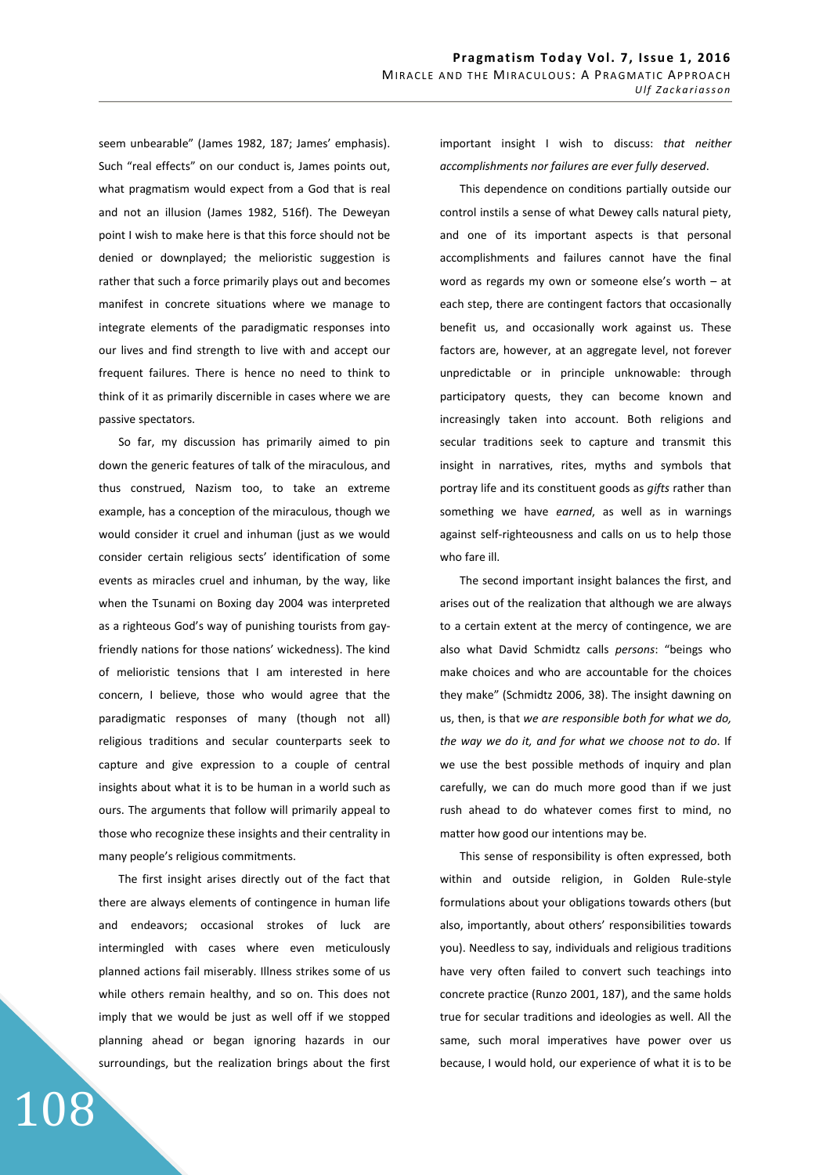seem unbearable" (James 1982, 187; James' emphasis). Such "real effects" on our conduct is, James points out, what pragmatism would expect from a God that is real and not an illusion (James 1982, 516f). The Deweyan point I wish to make here is that this force should not be denied or downplayed; the melioristic suggestion is rather that such a force primarily plays out and becomes manifest in concrete situations where we manage to integrate elements of the paradigmatic responses into our lives and find strength to live with and accept our frequent failures. There is hence no need to think to think of it as primarily discernible in cases where we are passive spectators.

So far, my discussion has primarily aimed to pin down the generic features of talk of the miraculous, and thus construed, Nazism too, to take an extreme example, has a conception of the miraculous, though we would consider it cruel and inhuman (just as we would consider certain religious sects' identification of some events as miracles cruel and inhuman, by the way, like when the Tsunami on Boxing day 2004 was interpreted as a righteous God's way of punishing tourists from gayfriendly nations for those nations' wickedness). The kind of melioristic tensions that I am interested in here concern, I believe, those who would agree that the paradigmatic responses of many (though not all) religious traditions and secular counterparts seek to capture and give expression to a couple of central insights about what it is to be human in a world such as ours. The arguments that follow will primarily appeal to those who recognize these insights and their centrality in many people's religious commitments.

The first insight arises directly out of the fact that there are always elements of contingence in human life and endeavors; occasional strokes of luck are intermingled with cases where even meticulously planned actions fail miserably. Illness strikes some of us while others remain healthy, and so on. This does not imply that we would be just as well off if we stopped planning ahead or began ignoring hazards in our surroundings, but the realization brings about the first

108

important insight I wish to discuss: *that neither accomplishments nor failures are ever fully deserved*.

This dependence on conditions partially outside our control instils a sense of what Dewey calls natural piety, and one of its important aspects is that personal accomplishments and failures cannot have the final word as regards my own or someone else's worth – at each step, there are contingent factors that occasionally benefit us, and occasionally work against us. These factors are, however, at an aggregate level, not forever unpredictable or in principle unknowable: through participatory quests, they can become known and increasingly taken into account. Both religions and secular traditions seek to capture and transmit this insight in narratives, rites, myths and symbols that portray life and its constituent goods as *gifts* rather than something we have *earned*, as well as in warnings against self-righteousness and calls on us to help those who fare ill.

The second important insight balances the first, and arises out of the realization that although we are always to a certain extent at the mercy of contingence, we are also what David Schmidtz calls *persons*: "beings who make choices and who are accountable for the choices they make" (Schmidtz 2006, 38). The insight dawning on us, then, is that *we are responsible both for what we do, the way we do it, and for what we choose not to do*. If we use the best possible methods of inquiry and plan carefully, we can do much more good than if we just rush ahead to do whatever comes first to mind, no matter how good our intentions may be.

This sense of responsibility is often expressed, both within and outside religion, in Golden Rule-style formulations about your obligations towards others (but also, importantly, about others' responsibilities towards you). Needless to say, individuals and religious traditions have very often failed to convert such teachings into concrete practice (Runzo 2001, 187), and the same holds true for secular traditions and ideologies as well. All the same, such moral imperatives have power over us because, I would hold, our experience of what it is to be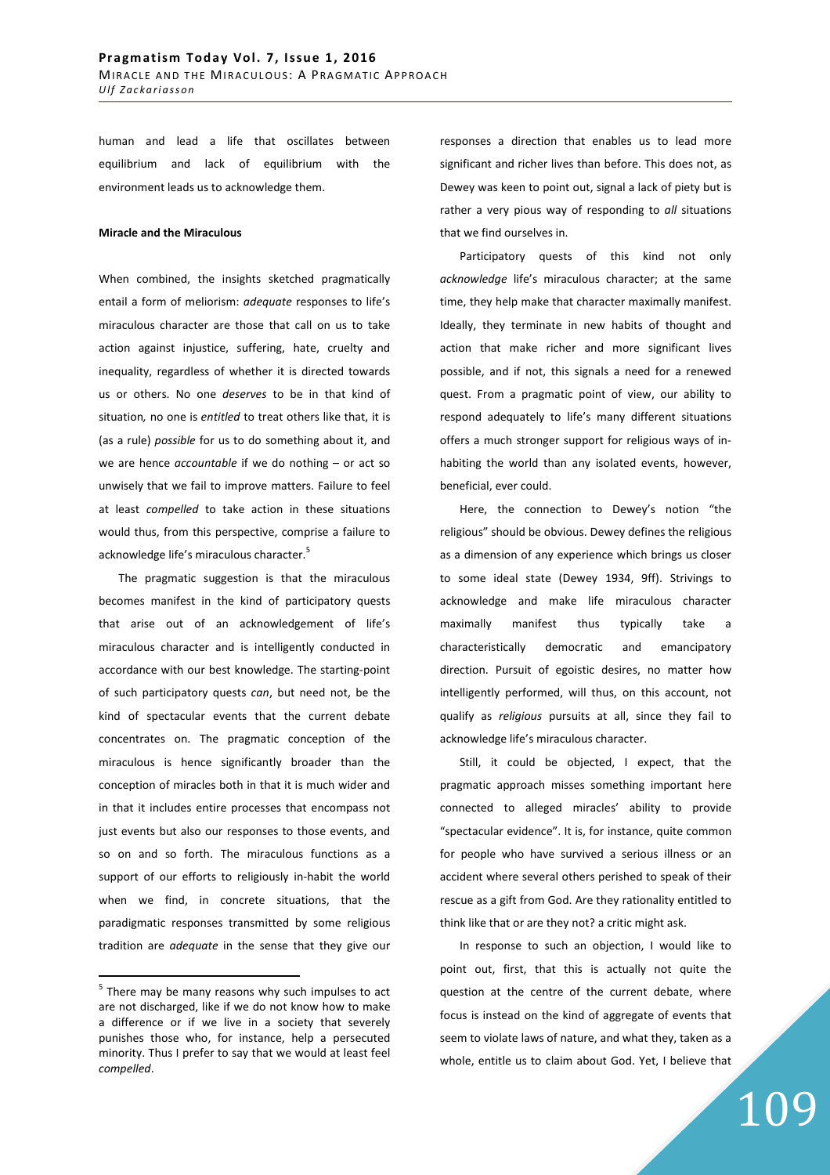human and lead a life that oscillates between equilibrium and lack of equilibrium with the environment leads us to acknowledge them.

### **Miracle and the Miraculous**

When combined, the insights sketched pragmatically entail a form of meliorism: *adequate* responses to life's miraculous character are those that call on us to take action against injustice, suffering, hate, cruelty and inequality, regardless of whether it is directed towards us or others. No one *deserves* to be in that kind of situation*,* no one is *entitled* to treat others like that, it is (as a rule) *possible* for us to do something about it, and we are hence *accountable* if we do nothing – or act so unwisely that we fail to improve matters. Failure to feel at least *compelled* to take action in these situations would thus, from this perspective, comprise a failure to acknowledge life's miraculous character.<sup>5</sup>

The pragmatic suggestion is that the miraculous becomes manifest in the kind of participatory quests that arise out of an acknowledgement of life's miraculous character and is intelligently conducted in accordance with our best knowledge. The starting-point of such participatory quests *can*, but need not, be the kind of spectacular events that the current debate concentrates on. The pragmatic conception of the miraculous is hence significantly broader than the conception of miracles both in that it is much wider and in that it includes entire processes that encompass not just events but also our responses to those events, and so on and so forth. The miraculous functions as a support of our efforts to religiously in-habit the world when we find, in concrete situations, that the paradigmatic responses transmitted by some religious tradition are *adequate* in the sense that they give our

 $\overline{a}$ 

responses a direction that enables us to lead more significant and richer lives than before. This does not, as Dewey was keen to point out, signal a lack of piety but is rather a very pious way of responding to *all* situations that we find ourselves in.

Participatory quests of this kind not only *acknowledge* life's miraculous character; at the same time, they help make that character maximally manifest. Ideally, they terminate in new habits of thought and action that make richer and more significant lives possible, and if not, this signals a need for a renewed quest. From a pragmatic point of view, our ability to respond adequately to life's many different situations offers a much stronger support for religious ways of inhabiting the world than any isolated events, however, beneficial, ever could.

Here, the connection to Dewey's notion "the religious" should be obvious. Dewey defines the religious as a dimension of any experience which brings us closer to some ideal state (Dewey 1934, 9ff). Strivings to acknowledge and make life miraculous character maximally manifest thus typically take a characteristically democratic and emancipatory direction. Pursuit of egoistic desires, no matter how intelligently performed, will thus, on this account, not qualify as *religious* pursuits at all, since they fail to acknowledge life's miraculous character.

Still, it could be objected, I expect, that the pragmatic approach misses something important here connected to alleged miracles' ability to provide "spectacular evidence". It is, for instance, quite common for people who have survived a serious illness or an accident where several others perished to speak of their rescue as a gift from God. Are they rationality entitled to think like that or are they not? a critic might ask.

In response to such an objection, I would like to point out, first, that this is actually not quite the question at the centre of the current debate, where focus is instead on the kind of aggregate of events that seem to violate laws of nature, and what they, taken as a whole, entitle us to claim about God. Yet, I believe that

 $<sup>5</sup>$  There may be many reasons why such impulses to act</sup> are not discharged, like if we do not know how to make a difference or if we live in a society that severely punishes those who, for instance, help a persecuted minority. Thus I prefer to say that we would at least feel *compelled*.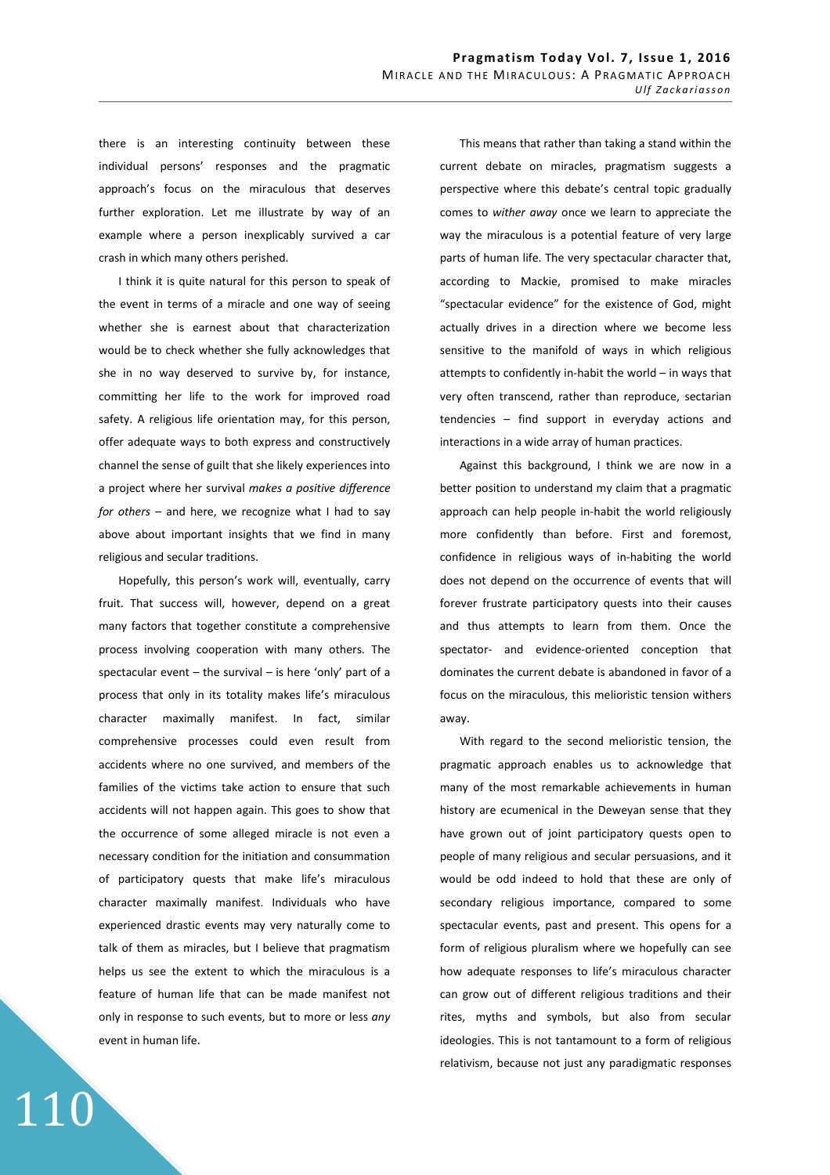there is an interesting continuity between these individual persons' responses and the pragmatic approach's focus on the miraculous that deserves further exploration. Let me illustrate by way of an example where a person inexplicably survived a car crash in which many others perished.

I think it is quite natural for this person to speak of the event in terms of a miracle and one way of seeing whether she is earnest about that characterization would be to check whether she fully acknowledges that she in no way deserved to survive by, for instance, committing her life to the work for improved road safety. A religious life orientation may, for this person, offer adequate ways to both express and constructively channel the sense of guilt that she likely experiences into a project where her survival *makes a positive difference for others* – and here, we recognize what I had to say above about important insights that we find in many religious and secular traditions.

Hopefully, this person's work will, eventually, carry fruit. That success will, however, depend on a great many factors that together constitute a comprehensive process involving cooperation with many others. The spectacular event  $-$  the survival  $-$  is here 'only' part of a process that only in its totality makes life's miraculous character maximally manifest. In fact, similar comprehensive processes could even result from accidents where no one survived, and members of the families of the victims take action to ensure that such accidents will not happen again. This goes to show that the occurrence of some alleged miracle is not even a necessary condition for the initiation and consummation of participatory quests that make life's miraculous character maximally manifest. Individuals who have experienced drastic events may very naturally come to talk of them as miracles, but I believe that pragmatism helps us see the extent to which the miraculous is a feature of human life that can be made manifest not only in response to such events, but to more or less *any* event in human life.

110

This means that rather than taking a stand within the current debate on miracles, pragmatism suggests a perspective where this debate's central topic gradually comes to *wither away* once we learn to appreciate the way the miraculous is a potential feature of very large parts of human life. The very spectacular character that, according to Mackie, promised to make miracles "spectacular evidence" for the existence of God, might actually drives in a direction where we become less sensitive to the manifold of ways in which religious attempts to confidently in-habit the world – in ways that very often transcend, rather than reproduce, sectarian tendencies – find support in everyday actions and interactions in a wide array of human practices.

Against this background, I think we are now in a better position to understand my claim that a pragmatic approach can help people in-habit the world religiously more confidently than before. First and foremost, confidence in religious ways of in-habiting the world does not depend on the occurrence of events that will forever frustrate participatory quests into their causes and thus attempts to learn from them. Once the spectator- and evidence-oriented conception that dominates the current debate is abandoned in favor of a focus on the miraculous, this melioristic tension withers away.

With regard to the second melioristic tension, the pragmatic approach enables us to acknowledge that many of the most remarkable achievements in human history are ecumenical in the Deweyan sense that they have grown out of joint participatory quests open to people of many religious and secular persuasions, and it would be odd indeed to hold that these are only of secondary religious importance, compared to some spectacular events, past and present. This opens for a form of religious pluralism where we hopefully can see how adequate responses to life's miraculous character can grow out of different religious traditions and their rites, myths and symbols, but also from secular ideologies. This is not tantamount to a form of religious relativism, because not just any paradigmatic responses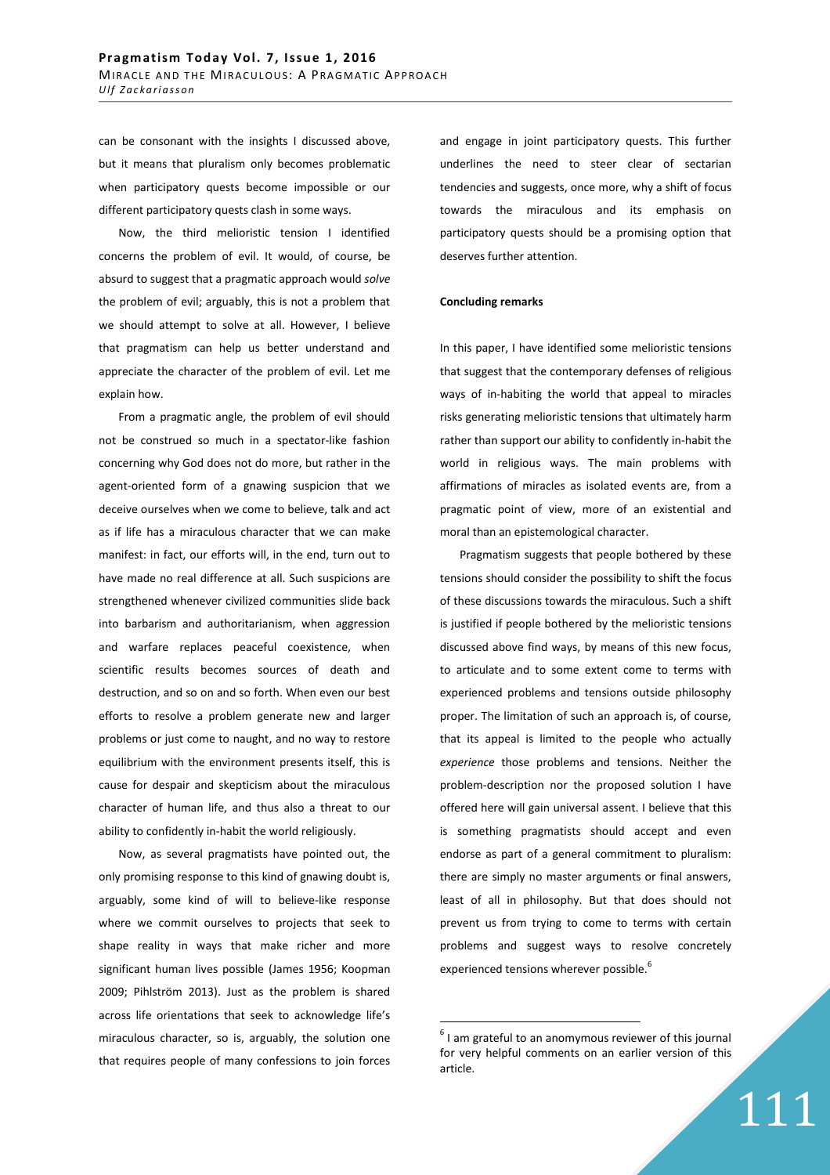can be consonant with the insights I discussed above, but it means that pluralism only becomes problematic when participatory quests become impossible or our different participatory quests clash in some ways.

Now, the third melioristic tension I identified concerns the problem of evil. It would, of course, be absurd to suggest that a pragmatic approach would *solve* the problem of evil; arguably, this is not a problem that we should attempt to solve at all. However, I believe that pragmatism can help us better understand and appreciate the character of the problem of evil. Let me explain how.

From a pragmatic angle, the problem of evil should not be construed so much in a spectator-like fashion concerning why God does not do more, but rather in the agent-oriented form of a gnawing suspicion that we deceive ourselves when we come to believe, talk and act as if life has a miraculous character that we can make manifest: in fact, our efforts will, in the end, turn out to have made no real difference at all. Such suspicions are strengthened whenever civilized communities slide back into barbarism and authoritarianism, when aggression and warfare replaces peaceful coexistence, when scientific results becomes sources of death and destruction, and so on and so forth. When even our best efforts to resolve a problem generate new and larger problems or just come to naught, and no way to restore equilibrium with the environment presents itself, this is cause for despair and skepticism about the miraculous character of human life, and thus also a threat to our ability to confidently in-habit the world religiously.

Now, as several pragmatists have pointed out, the only promising response to this kind of gnawing doubt is, arguably, some kind of will to believe-like response where we commit ourselves to projects that seek to shape reality in ways that make richer and more significant human lives possible (James 1956; Koopman 2009; Pihlström 2013). Just as the problem is shared across life orientations that seek to acknowledge life's miraculous character, so is, arguably, the solution one that requires people of many confessions to join forces and engage in joint participatory quests. This further underlines the need to steer clear of sectarian tendencies and suggests, once more, why a shift of focus towards the miraculous and its emphasis on participatory quests should be a promising option that deserves further attention.

### **Concluding remarks**

In this paper, I have identified some melioristic tensions that suggest that the contemporary defenses of religious ways of in-habiting the world that appeal to miracles risks generating melioristic tensions that ultimately harm rather than support our ability to confidently in-habit the world in religious ways. The main problems with affirmations of miracles as isolated events are, from a pragmatic point of view, more of an existential and moral than an epistemological character.

Pragmatism suggests that people bothered by these tensions should consider the possibility to shift the focus of these discussions towards the miraculous. Such a shift is justified if people bothered by the melioristic tensions discussed above find ways, by means of this new focus, to articulate and to some extent come to terms with experienced problems and tensions outside philosophy proper. The limitation of such an approach is, of course, that its appeal is limited to the people who actually *experience* those problems and tensions. Neither the problem-description nor the proposed solution I have offered here will gain universal assent. I believe that this is something pragmatists should accept and even endorse as part of a general commitment to pluralism: there are simply no master arguments or final answers, least of all in philosophy. But that does should not prevent us from trying to come to terms with certain problems and suggest ways to resolve concretely experienced tensions wherever possible.<sup>6</sup>

 $\overline{a}$ 

111

 $<sup>6</sup>$  I am grateful to an anomymous reviewer of this journal</sup> for very helpful comments on an earlier version of this article.